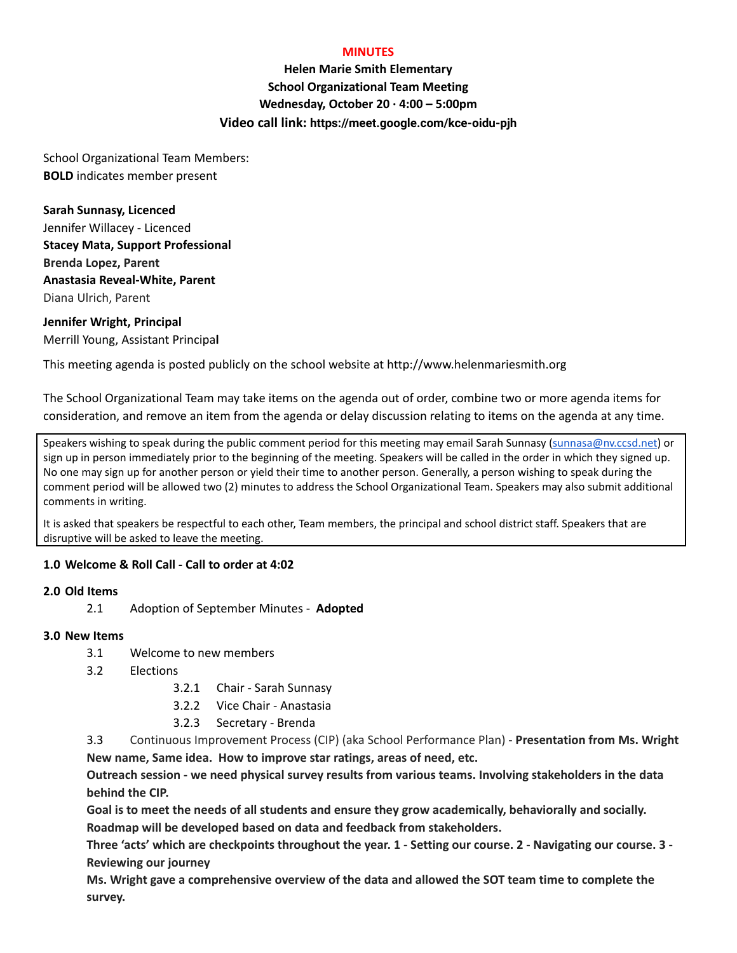### **MINUTES**

**Helen Marie Smith Elementary School Organizational Team Meeting Wednesday, October 20 · 4:00 – 5:00pm Video call link: https://meet.google.com/kce-oidu-pjh**

School Organizational Team Members: **BOLD** indicates member present

**Sarah Sunnasy, Licenced** Jennifer Willacey - Licenced **Stacey Mata, Support Professional Brenda Lopez, Parent Anastasia Reveal-White, Parent** Diana Ulrich, Parent

**Jennifer Wright, Principal** Merrill Young, Assistant Principa**l**

This meeting agenda is posted publicly on the school website at http://www.helenmariesmith.org

The School Organizational Team may take items on the agenda out of order, combine two or more agenda items for consideration, and remove an item from the agenda or delay discussion relating to items on the agenda at any time.

Speakers wishing to speak during the public comment period for this meeting may email Sarah Sunnasy [\(sunnasa@nv.ccsd.net](mailto:sunnasa@nv.ccsd.net)) or sign up in person immediately prior to the beginning of the meeting. Speakers will be called in the order in which they signed up. No one may sign up for another person or yield their time to another person. Generally, a person wishing to speak during the comment period will be allowed two (2) minutes to address the School Organizational Team. Speakers may also submit additional comments in writing.

It is asked that speakers be respectful to each other, Team members, the principal and school district staff. Speakers that are disruptive will be asked to leave the meeting.

## **1.0 Welcome & Roll Call - Call to order at 4:02**

## **2.0 Old Items**

2.1 Adoption of September Minutes - **Adopted**

#### **3.0 New Items**

- 3.1 Welcome to new members
- 3.2 Elections
	- 3.2.1 Chair Sarah Sunnasy
	- 3.2.2 Vice Chair Anastasia
	- 3.2.3 Secretary Brenda

3.3 Continuous Improvement Process (CIP) (aka School Performance Plan) - **Presentation from Ms. Wright New name, Same idea. How to improve star ratings, areas of need, etc.**

**Outreach session - we need physical survey results from various teams. Involving stakeholders in the data behind the CIP.**

**Goal is to meet the needs of all students and ensure they grow academically, behaviorally and socially. Roadmap will be developed based on data and feedback from stakeholders.**

Three 'acts' which are checkpoints throughout the year. 1 - Setting our course. 2 - Navigating our course. 3 -**Reviewing our journey**

**Ms. Wright gave a comprehensive overview of the data and allowed the SOT team time to complete the survey.**